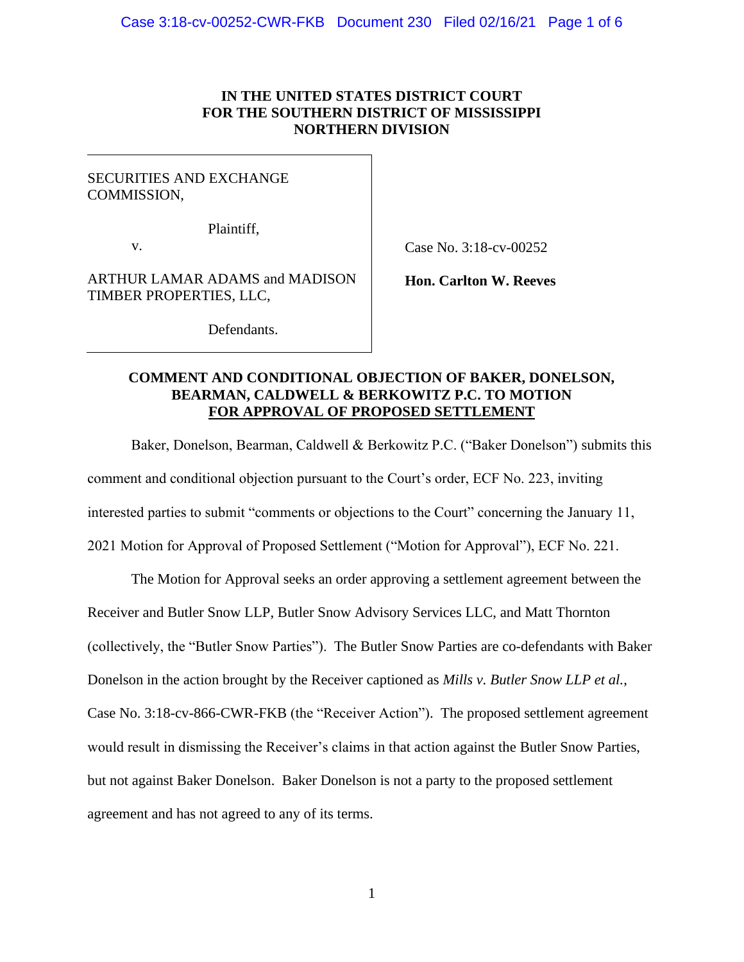# **IN THE UNITED STATES DISTRICT COURT FOR THE SOUTHERN DISTRICT OF MISSISSIPPI NORTHERN DIVISION**

# SECURITIES AND EXCHANGE COMMISSION,

Plaintiff,

v.

Case No. 3:18-cv-00252

ARTHUR LAMAR ADAMS and MADISON TIMBER PROPERTIES, LLC,

**Hon. Carlton W. Reeves**

Defendants.

# **COMMENT AND CONDITIONAL OBJECTION OF BAKER, DONELSON, BEARMAN, CALDWELL & BERKOWITZ P.C. TO MOTION FOR APPROVAL OF PROPOSED SETTLEMENT**

Baker, Donelson, Bearman, Caldwell & Berkowitz P.C. ("Baker Donelson") submits this comment and conditional objection pursuant to the Court's order, ECF No. 223, inviting interested parties to submit "comments or objections to the Court" concerning the January 11, 2021 Motion for Approval of Proposed Settlement ("Motion for Approval"), ECF No. 221.

The Motion for Approval seeks an order approving a settlement agreement between the Receiver and Butler Snow LLP, Butler Snow Advisory Services LLC, and Matt Thornton (collectively, the "Butler Snow Parties"). The Butler Snow Parties are co-defendants with Baker Donelson in the action brought by the Receiver captioned as *Mills v. Butler Snow LLP et al.*, Case No. 3:18-cv-866-CWR-FKB (the "Receiver Action"). The proposed settlement agreement would result in dismissing the Receiver's claims in that action against the Butler Snow Parties, but not against Baker Donelson. Baker Donelson is not a party to the proposed settlement agreement and has not agreed to any of its terms.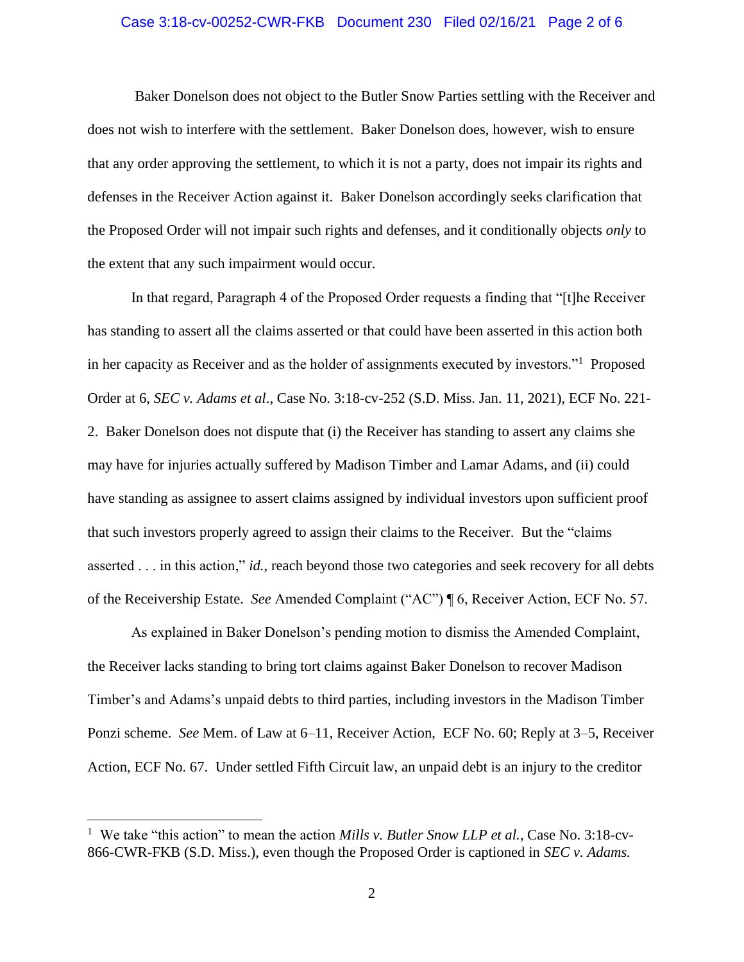# Case 3:18-cv-00252-CWR-FKB Document 230 Filed 02/16/21 Page 2 of 6

Baker Donelson does not object to the Butler Snow Parties settling with the Receiver and does not wish to interfere with the settlement. Baker Donelson does, however, wish to ensure that any order approving the settlement, to which it is not a party, does not impair its rights and defenses in the Receiver Action against it. Baker Donelson accordingly seeks clarification that the Proposed Order will not impair such rights and defenses, and it conditionally objects *only* to the extent that any such impairment would occur.

In that regard, Paragraph 4 of the Proposed Order requests a finding that "[t]he Receiver has standing to assert all the claims asserted or that could have been asserted in this action both in her capacity as Receiver and as the holder of assignments executed by investors."<sup>1</sup> Proposed Order at 6, *SEC v. Adams et al*., Case No. 3:18-cv-252 (S.D. Miss. Jan. 11, 2021), ECF No. 221- 2. Baker Donelson does not dispute that (i) the Receiver has standing to assert any claims she may have for injuries actually suffered by Madison Timber and Lamar Adams, and (ii) could have standing as assignee to assert claims assigned by individual investors upon sufficient proof that such investors properly agreed to assign their claims to the Receiver. But the "claims asserted . . . in this action," *id.*, reach beyond those two categories and seek recovery for all debts of the Receivership Estate. *See* Amended Complaint ("AC") ¶ 6, Receiver Action, ECF No. 57.

As explained in Baker Donelson's pending motion to dismiss the Amended Complaint, the Receiver lacks standing to bring tort claims against Baker Donelson to recover Madison Timber's and Adams's unpaid debts to third parties, including investors in the Madison Timber Ponzi scheme. *See* Mem. of Law at 6–11, Receiver Action, ECF No. 60; Reply at 3–5, Receiver Action, ECF No. 67. Under settled Fifth Circuit law, an unpaid debt is an injury to the creditor

<sup>1</sup> We take "this action" to mean the action *Mills v. Butler Snow LLP et al.*, Case No. 3:18-cv-866-CWR-FKB (S.D. Miss.), even though the Proposed Order is captioned in *SEC v. Adams.*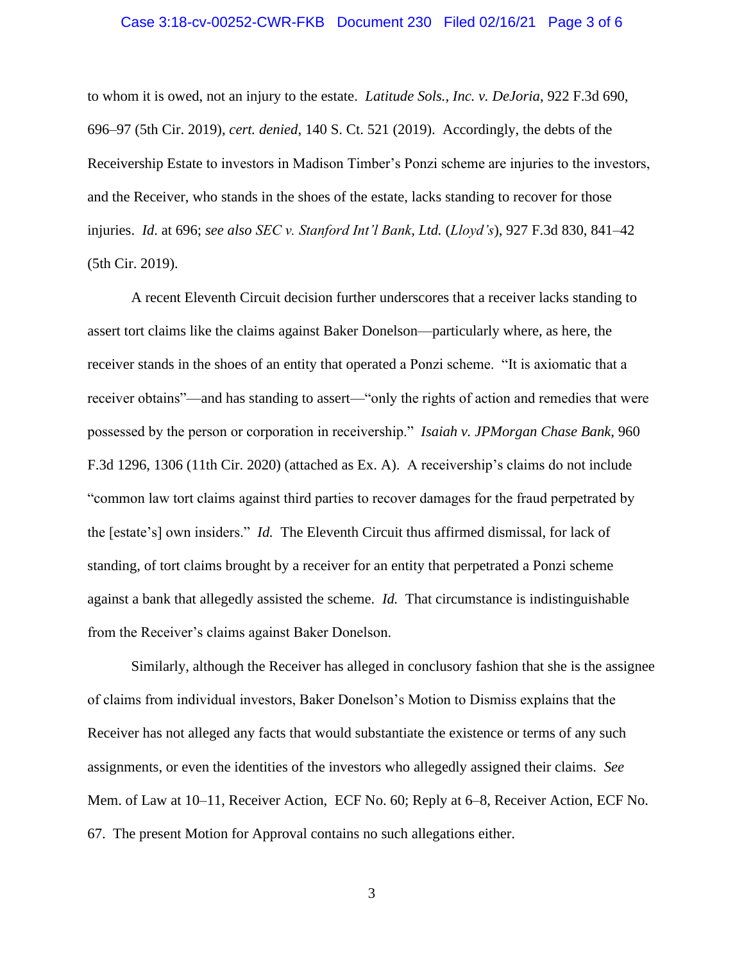# Case 3:18-cv-00252-CWR-FKB Document 230 Filed 02/16/21 Page 3 of 6

to whom it is owed, not an injury to the estate. *Latitude Sols., Inc. v. DeJoria*, 922 F.3d 690, 696–97 (5th Cir. 2019), *cert. denied*, 140 S. Ct. 521 (2019). Accordingly, the debts of the Receivership Estate to investors in Madison Timber's Ponzi scheme are injuries to the investors, and the Receiver, who stands in the shoes of the estate, lacks standing to recover for those injuries. *Id*. at 696; *see also SEC v. Stanford Int'l Bank, Ltd.* (*Lloyd's*), 927 F.3d 830, 841–42 (5th Cir. 2019).

A recent Eleventh Circuit decision further underscores that a receiver lacks standing to assert tort claims like the claims against Baker Donelson—particularly where, as here, the receiver stands in the shoes of an entity that operated a Ponzi scheme. "It is axiomatic that a receiver obtains"—and has standing to assert—"only the rights of action and remedies that were possessed by the person or corporation in receivership." *Isaiah v. JPMorgan Chase Bank*, 960 F.3d 1296, 1306 (11th Cir. 2020) (attached as Ex. A). A receivership's claims do not include "common law tort claims against third parties to recover damages for the fraud perpetrated by the [estate's] own insiders." *Id.* The Eleventh Circuit thus affirmed dismissal, for lack of standing, of tort claims brought by a receiver for an entity that perpetrated a Ponzi scheme against a bank that allegedly assisted the scheme. *Id.* That circumstance is indistinguishable from the Receiver's claims against Baker Donelson.

Similarly, although the Receiver has alleged in conclusory fashion that she is the assignee of claims from individual investors, Baker Donelson's Motion to Dismiss explains that the Receiver has not alleged any facts that would substantiate the existence or terms of any such assignments, or even the identities of the investors who allegedly assigned their claims. *See*  Mem. of Law at 10–11, Receiver Action, ECF No. 60; Reply at 6–8, Receiver Action, ECF No. 67. The present Motion for Approval contains no such allegations either.

3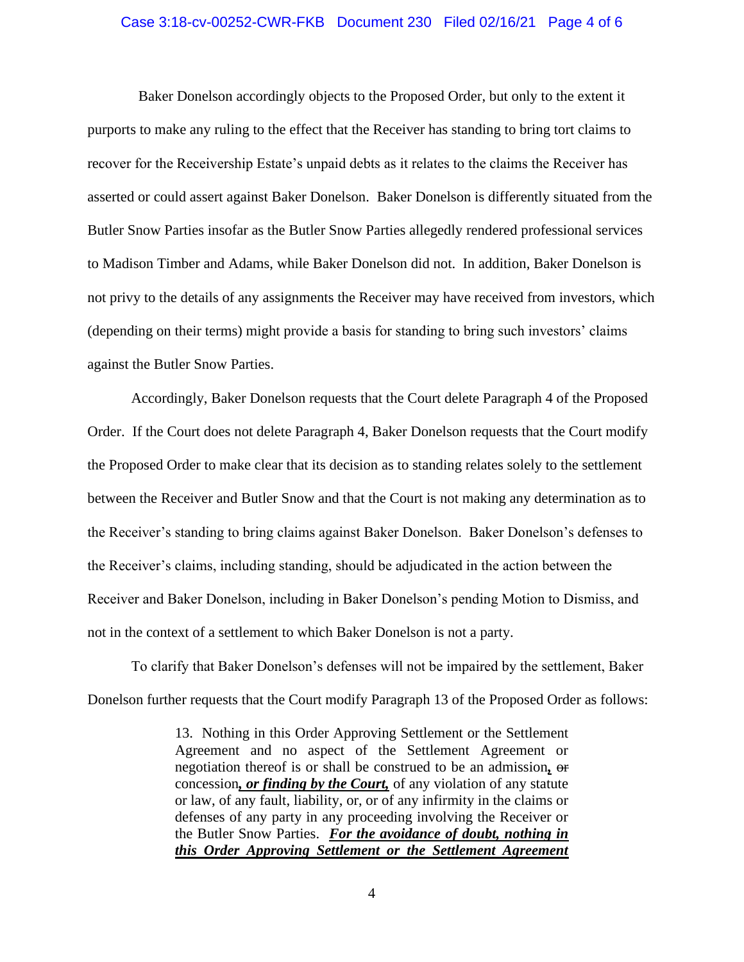# Case 3:18-cv-00252-CWR-FKB Document 230 Filed 02/16/21 Page 4 of 6

 Baker Donelson accordingly objects to the Proposed Order, but only to the extent it purports to make any ruling to the effect that the Receiver has standing to bring tort claims to recover for the Receivership Estate's unpaid debts as it relates to the claims the Receiver has asserted or could assert against Baker Donelson. Baker Donelson is differently situated from the Butler Snow Parties insofar as the Butler Snow Parties allegedly rendered professional services to Madison Timber and Adams, while Baker Donelson did not. In addition, Baker Donelson is not privy to the details of any assignments the Receiver may have received from investors, which (depending on their terms) might provide a basis for standing to bring such investors' claims against the Butler Snow Parties.

Accordingly, Baker Donelson requests that the Court delete Paragraph 4 of the Proposed Order. If the Court does not delete Paragraph 4, Baker Donelson requests that the Court modify the Proposed Order to make clear that its decision as to standing relates solely to the settlement between the Receiver and Butler Snow and that the Court is not making any determination as to the Receiver's standing to bring claims against Baker Donelson. Baker Donelson's defenses to the Receiver's claims, including standing, should be adjudicated in the action between the Receiver and Baker Donelson, including in Baker Donelson's pending Motion to Dismiss, and not in the context of a settlement to which Baker Donelson is not a party.

To clarify that Baker Donelson's defenses will not be impaired by the settlement, Baker Donelson further requests that the Court modify Paragraph 13 of the Proposed Order as follows:

> 13. Nothing in this Order Approving Settlement or the Settlement Agreement and no aspect of the Settlement Agreement or negotiation thereof is or shall be construed to be an admission*,* or concession*, or finding by the Court,* of any violation of any statute or law, of any fault, liability, or, or of any infirmity in the claims or defenses of any party in any proceeding involving the Receiver or the Butler Snow Parties. *For the avoidance of doubt, nothing in this Order Approving Settlement or the Settlement Agreement*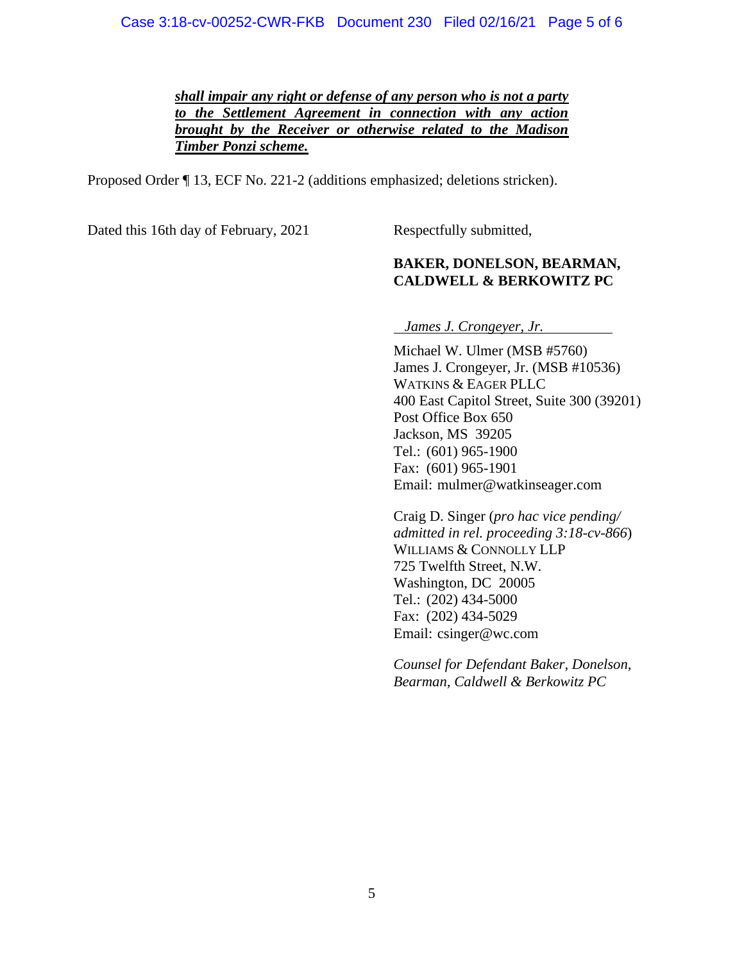*shall impair any right or defense of any person who is not a party to the Settlement Agreement in connection with any action brought by the Receiver or otherwise related to the Madison Timber Ponzi scheme.*

Proposed Order ¶ 13, ECF No. 221-2 (additions emphasized; deletions stricken).

Dated this 16th day of February, 2021 Respectfully submitted,

# **BAKER, DONELSON, BEARMAN, CALDWELL & BERKOWITZ PC**

*James J. Crongeyer, Jr.*

Michael W. Ulmer (MSB #5760) James J. Crongeyer, Jr. (MSB #10536) WATKINS & EAGER PLLC 400 East Capitol Street, Suite 300 (39201) Post Office Box 650 Jackson, MS 39205 Tel.: (601) 965-1900 Fax: (601) 965-1901 Email: mulmer@watkinseager.com

Craig D. Singer (*pro hac vice pending/ admitted in rel. proceeding 3:18-cv-866*) WILLIAMS & CONNOLLY LLP 725 Twelfth Street, N.W. Washington, DC 20005 Tel.: (202) 434-5000 Fax: (202) 434-5029 Email: csinger@wc.com

*Counsel for Defendant Baker, Donelson, Bearman, Caldwell & Berkowitz PC*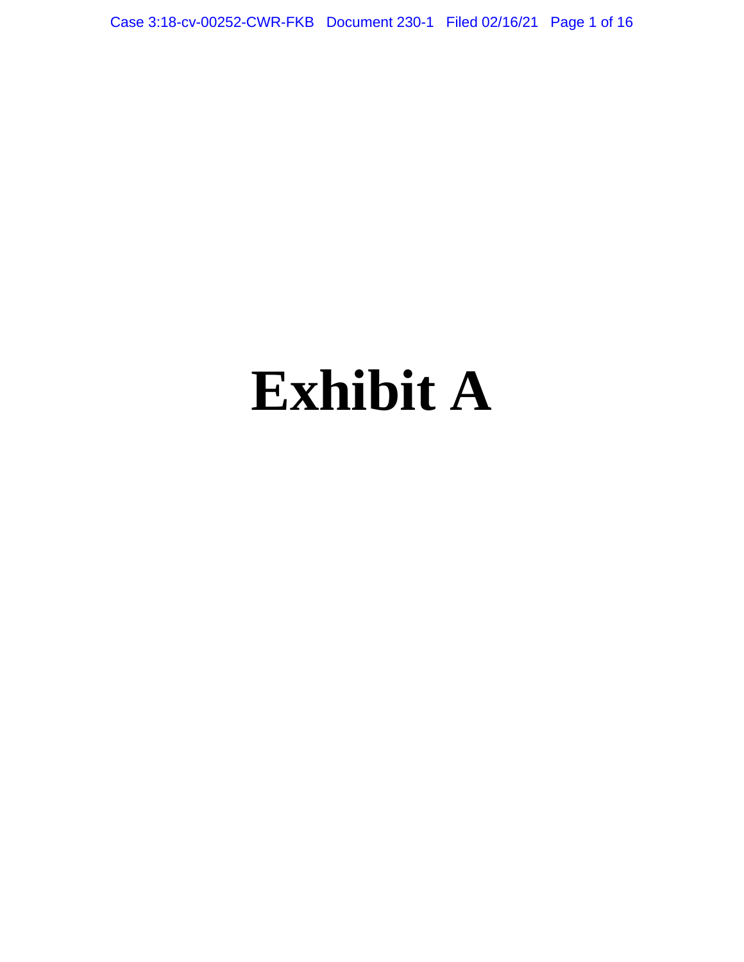Case 3:18-cv-00252-CWR-FKB Document 230-1 Filed 02/16/21 Page 1 of 16

# **Exhibit A**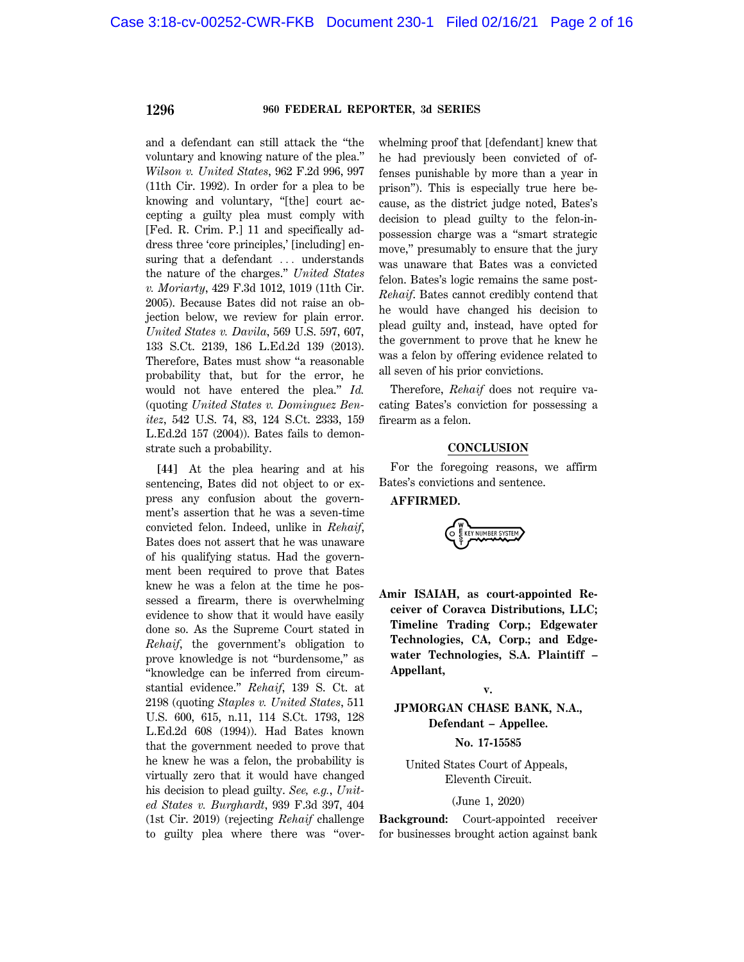and a defendant can still attack the ''the voluntary and knowing nature of the plea.'' *Wilson v. United States*, 962 F.2d 996, 997 (11th Cir. 1992). In order for a plea to be knowing and voluntary, ''[the] court accepting a guilty plea must comply with [Fed. R. Crim. P.] 11 and specifically address three 'core principles,' [including] ensuring that a defendant  $\ldots$  understands the nature of the charges.'' *United States v. Moriarty*, 429 F.3d 1012, 1019 (11th Cir. 2005). Because Bates did not raise an objection below, we review for plain error. *United States v. Davila*, 569 U.S. 597, 607, 133 S.Ct. 2139, 186 L.Ed.2d 139 (2013). Therefore, Bates must show ''a reasonable probability that, but for the error, he would not have entered the plea.'' *Id.* (quoting *United States v. Dominguez Benitez*, 542 U.S. 74, 83, 124 S.Ct. 2333, 159 L.Ed.2d 157 (2004)). Bates fails to demonstrate such a probability.

**[44]** At the plea hearing and at his sentencing, Bates did not object to or express any confusion about the government's assertion that he was a seven-time convicted felon. Indeed, unlike in *Rehaif*, Bates does not assert that he was unaware of his qualifying status. Had the government been required to prove that Bates knew he was a felon at the time he possessed a firearm, there is overwhelming evidence to show that it would have easily done so. As the Supreme Court stated in *Rehaif*, the government's obligation to prove knowledge is not ''burdensome,'' as ''knowledge can be inferred from circumstantial evidence.'' *Rehaif*, 139 S. Ct. at 2198 (quoting *Staples v. United States*, 511 U.S. 600, 615, n.11, 114 S.Ct. 1793, 128 L.Ed.2d 608 (1994)). Had Bates known that the government needed to prove that he knew he was a felon, the probability is virtually zero that it would have changed his decision to plead guilty. *See, e.g.*, *United States v. Burghardt*, 939 F.3d 397, 404 (1st Cir. 2019) (rejecting *Rehaif* challenge to guilty plea where there was ''overwhelming proof that [defendant] knew that he had previously been convicted of offenses punishable by more than a year in prison''). This is especially true here because, as the district judge noted, Bates's decision to plead guilty to the felon-inpossession charge was a ''smart strategic move,'' presumably to ensure that the jury was unaware that Bates was a convicted felon. Bates's logic remains the same post-*Rehaif*. Bates cannot credibly contend that he would have changed his decision to plead guilty and, instead, have opted for the government to prove that he knew he was a felon by offering evidence related to all seven of his prior convictions.

Therefore, *Rehaif* does not require vacating Bates's conviction for possessing a firearm as a felon.

#### **CONCLUSION**

For the foregoing reasons, we affirm Bates's convictions and sentence.

**AFFIRMED.**

EY NUMBER SYSTEM

**Amir ISAIAH, as court-appointed Receiver of Coravca Distributions, LLC; Timeline Trading Corp.; Edgewater Technologies, CA, Corp.; and Edgewater Technologies, S.A. Plaintiff – Appellant,**

**v.**

# **JPMORGAN CHASE BANK, N.A., Defendant – Appellee.**

#### **No. 17-15585**

United States Court of Appeals, Eleventh Circuit.

#### (June 1, 2020)

**Background:** Court-appointed receiver for businesses brought action against bank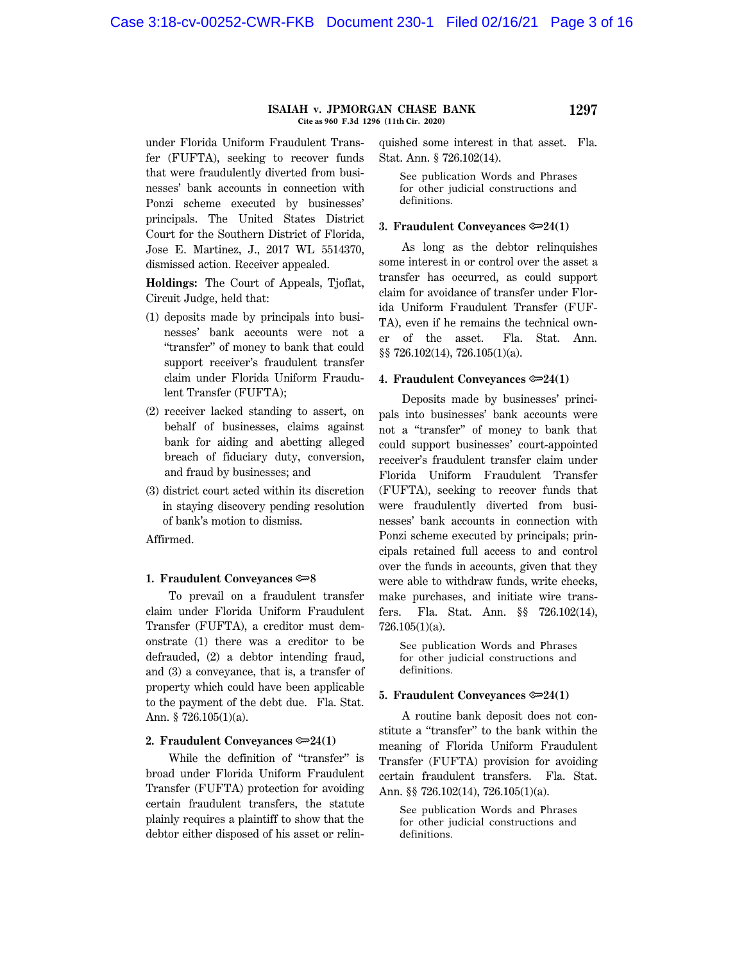#### **ISAIAH v. JPMORGAN CHASE BANK 1297 Cite as 960 F.3d 1296 (11th Cir. 2020)**

under Florida Uniform Fraudulent Transfer (FUFTA), seeking to recover funds that were fraudulently diverted from businesses' bank accounts in connection with Ponzi scheme executed by businesses' principals. The United States District Court for the Southern District of Florida, Jose E. Martinez, J., 2017 WL 5514370, dismissed action. Receiver appealed.

**Holdings:** The Court of Appeals, Tjoflat, Circuit Judge, held that:

- (1) deposits made by principals into businesses' bank accounts were not a ''transfer'' of money to bank that could support receiver's fraudulent transfer claim under Florida Uniform Fraudulent Transfer (FUFTA);
- (2) receiver lacked standing to assert, on behalf of businesses, claims against bank for aiding and abetting alleged breach of fiduciary duty, conversion, and fraud by businesses; and
- (3) district court acted within its discretion in staying discovery pending resolution of bank's motion to dismiss.

Affirmed.

#### **1. Fraudulent Conveyances**  $\approx 8$

To prevail on a fraudulent transfer claim under Florida Uniform Fraudulent Transfer (FUFTA), a creditor must demonstrate (1) there was a creditor to be defrauded, (2) a debtor intending fraud, and (3) a conveyance, that is, a transfer of property which could have been applicable to the payment of the debt due. Fla. Stat. Ann. § 726.105(1)(a).

#### **2. Fraudulent Conveyances**  $\approx 24(1)$

While the definition of ''transfer'' is broad under Florida Uniform Fraudulent Transfer (FUFTA) protection for avoiding certain fraudulent transfers, the statute plainly requires a plaintiff to show that the debtor either disposed of his asset or relinquished some interest in that asset. Fla. Stat. Ann. § 726.102(14).

See publication Words and Phrases for other judicial constructions and definitions.

#### **3. Fraudulent Conveyances**  $\approx 24(1)$

As long as the debtor relinquishes some interest in or control over the asset a transfer has occurred, as could support claim for avoidance of transfer under Florida Uniform Fraudulent Transfer (FUF-TA), even if he remains the technical owner of the asset. Fla. Stat. Ann. §§ 726.102(14), 726.105(1)(a).

## **4. Fraudulent Conveyances**  $\approx 24(1)$

Deposits made by businesses' principals into businesses' bank accounts were not a ''transfer'' of money to bank that could support businesses' court-appointed receiver's fraudulent transfer claim under Florida Uniform Fraudulent Transfer (FUFTA), seeking to recover funds that were fraudulently diverted from businesses' bank accounts in connection with Ponzi scheme executed by principals; principals retained full access to and control over the funds in accounts, given that they were able to withdraw funds, write checks, make purchases, and initiate wire transfers. Fla. Stat. Ann. §§ 726.102(14), 726.105(1)(a).

See publication Words and Phrases for other judicial constructions and definitions.

#### **5. Fraudulent Conveyances**  $\approx 24(1)$

A routine bank deposit does not constitute a ''transfer'' to the bank within the meaning of Florida Uniform Fraudulent Transfer (FUFTA) provision for avoiding certain fraudulent transfers. Fla. Stat. Ann. §§ 726.102(14), 726.105(1)(a).

See publication Words and Phrases for other judicial constructions and definitions.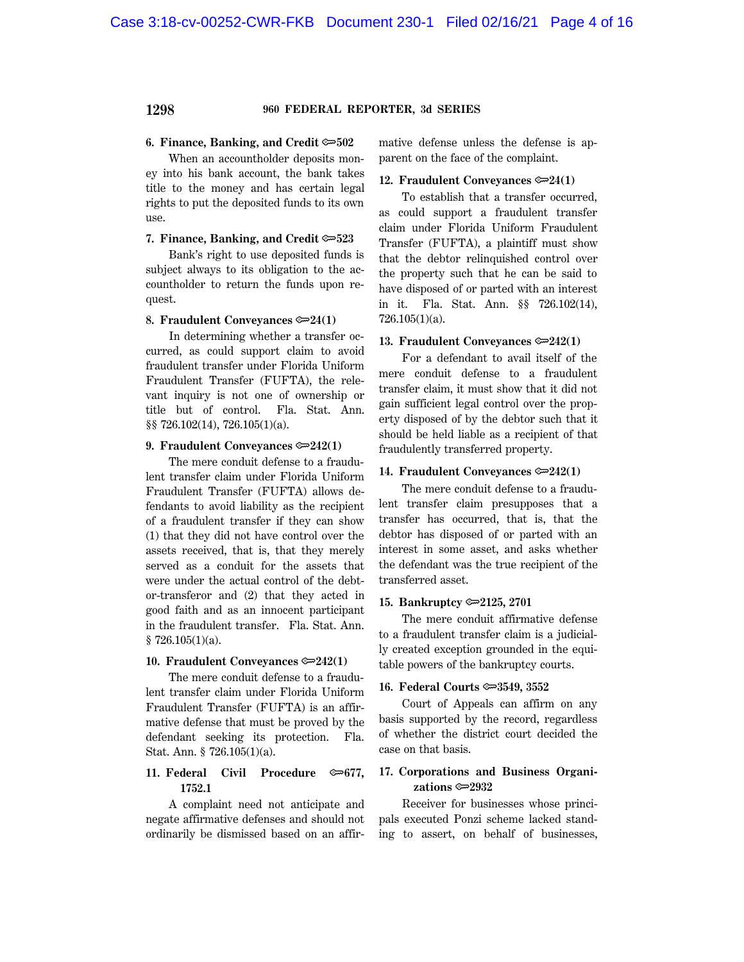#### **6. Finance, Banking, and Credit**  $\approx 502$

When an accountholder deposits money into his bank account, the bank takes title to the money and has certain legal rights to put the deposited funds to its own use.

#### **7. Finance, Banking, and Credit**  $\approx 523$

Bank's right to use deposited funds is subject always to its obligation to the accountholder to return the funds upon request.

#### **8. Fraudulent Conveyances**  $\approx 24(1)$

In determining whether a transfer occurred, as could support claim to avoid fraudulent transfer under Florida Uniform Fraudulent Transfer (FUFTA), the relevant inquiry is not one of ownership or title but of control. Fla. Stat. Ann. §§ 726.102(14), 726.105(1)(a).

#### **9. Fraudulent Conveyances**  $\approx 242(1)$

The mere conduit defense to a fraudulent transfer claim under Florida Uniform Fraudulent Transfer (FUFTA) allows defendants to avoid liability as the recipient of a fraudulent transfer if they can show (1) that they did not have control over the assets received, that is, that they merely served as a conduit for the assets that were under the actual control of the debtor-transferor and (2) that they acted in good faith and as an innocent participant in the fraudulent transfer. Fla. Stat. Ann.  $$726.105(1)(a).$ 

#### **10. Fraudulent Conveyances**  $\approx 242(1)$

The mere conduit defense to a fraudulent transfer claim under Florida Uniform Fraudulent Transfer (FUFTA) is an affirmative defense that must be proved by the defendant seeking its protection. Fla. Stat. Ann. § 726.105(1)(a).

## **11. Federal Civil Procedure**  $\infty$ **677. 1752.1**

A complaint need not anticipate and negate affirmative defenses and should not ordinarily be dismissed based on an affirmative defense unless the defense is apparent on the face of the complaint.

#### **12. Fraudulent Conveyances**  $\approx 24(1)$

To establish that a transfer occurred, as could support a fraudulent transfer claim under Florida Uniform Fraudulent Transfer (FUFTA), a plaintiff must show that the debtor relinquished control over the property such that he can be said to have disposed of or parted with an interest in it. Fla. Stat. Ann. §§ 726.102(14), 726.105(1)(a).

#### **13. Fraudulent Conveyances**  $\approx 242(1)$

For a defendant to avail itself of the mere conduit defense to a fraudulent transfer claim, it must show that it did not gain sufficient legal control over the property disposed of by the debtor such that it should be held liable as a recipient of that fraudulently transferred property.

#### **14. Fraudulent Conveyances**  $\approx 242(1)$

The mere conduit defense to a fraudulent transfer claim presupposes that a transfer has occurred, that is, that the debtor has disposed of or parted with an interest in some asset, and asks whether the defendant was the true recipient of the transferred asset.

#### **15. Bankruptcy** O**2125, 2701**

The mere conduit affirmative defense to a fraudulent transfer claim is a judicially created exception grounded in the equitable powers of the bankruptcy courts.

#### **16. Federal Courts**  $\approx 3549$ **, 3552**

Court of Appeals can affirm on any basis supported by the record, regardless of whether the district court decided the case on that basis.

#### **17. Corporations and Business Organizations** ∞2932

Receiver for businesses whose principals executed Ponzi scheme lacked standing to assert, on behalf of businesses,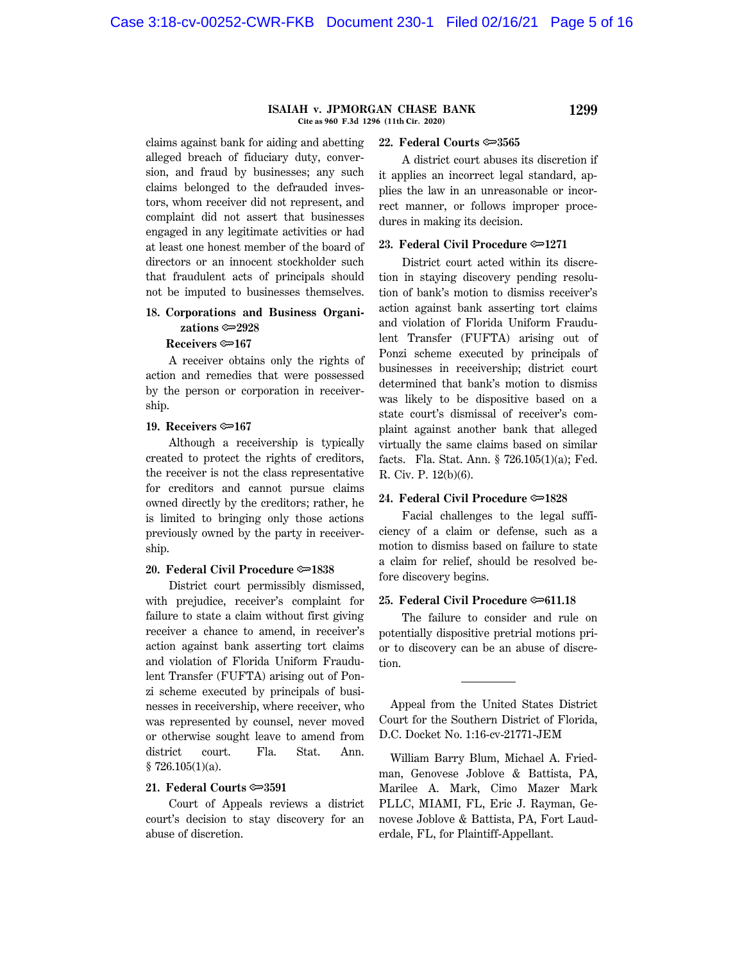#### **ISAIAH v. JPMORGAN CHASE BANK 1299 Cite as 960 F.3d 1296 (11th Cir. 2020)**

claims against bank for aiding and abetting alleged breach of fiduciary duty, conversion, and fraud by businesses; any such claims belonged to the defrauded investors, whom receiver did not represent, and complaint did not assert that businesses engaged in any legitimate activities or had at least one honest member of the board of directors or an innocent stockholder such that fraudulent acts of principals should not be imputed to businesses themselves.

#### **18. Corporations and Business Organizations** O**2928**

#### **Receivers** O**167**

A receiver obtains only the rights of action and remedies that were possessed by the person or corporation in receivership.

#### **19. Receivers** O**167**

Although a receivership is typically created to protect the rights of creditors, the receiver is not the class representative for creditors and cannot pursue claims owned directly by the creditors; rather, he is limited to bringing only those actions previously owned by the party in receivership.

#### **20. Federal Civil Procedure**  $\approx$ **1838**

District court permissibly dismissed, with prejudice, receiver's complaint for failure to state a claim without first giving receiver a chance to amend, in receiver's action against bank asserting tort claims and violation of Florida Uniform Fraudulent Transfer (FUFTA) arising out of Ponzi scheme executed by principals of businesses in receivership, where receiver, who was represented by counsel, never moved or otherwise sought leave to amend from district court. Fla. Stat. Ann.  $$726.105(1)(a).$ 

#### **21. Federal Courts**  $\approx 3591$

Court of Appeals reviews a district court's decision to stay discovery for an abuse of discretion.

#### **22. Federal Courts**  $\approx 3565$

A district court abuses its discretion if it applies an incorrect legal standard, applies the law in an unreasonable or incorrect manner, or follows improper procedures in making its decision.

#### **23. Federal Civil Procedure © 1271**

District court acted within its discretion in staying discovery pending resolution of bank's motion to dismiss receiver's action against bank asserting tort claims and violation of Florida Uniform Fraudulent Transfer (FUFTA) arising out of Ponzi scheme executed by principals of businesses in receivership; district court determined that bank's motion to dismiss was likely to be dispositive based on a state court's dismissal of receiver's complaint against another bank that alleged virtually the same claims based on similar facts. Fla. Stat. Ann. § 726.105(1)(a); Fed. R. Civ. P. 12(b)(6).

#### **24. Federal Civil Procedure**  $\approx 1828$

Facial challenges to the legal sufficiency of a claim or defense, such as a motion to dismiss based on failure to state a claim for relief, should be resolved before discovery begins.

#### **25. Federal Civil Procedure**  $\approx 611.18$

The failure to consider and rule on potentially dispositive pretrial motions prior to discovery can be an abuse of discretion.

Appeal from the United States District Court for the Southern District of Florida, D.C. Docket No. 1:16-cv-21771-JEM

William Barry Blum, Michael A. Friedman, Genovese Joblove & Battista, PA, Marilee A. Mark, Cimo Mazer Mark PLLC, MIAMI, FL, Eric J. Rayman, Genovese Joblove & Battista, PA, Fort Lauderdale, FL, for Plaintiff-Appellant.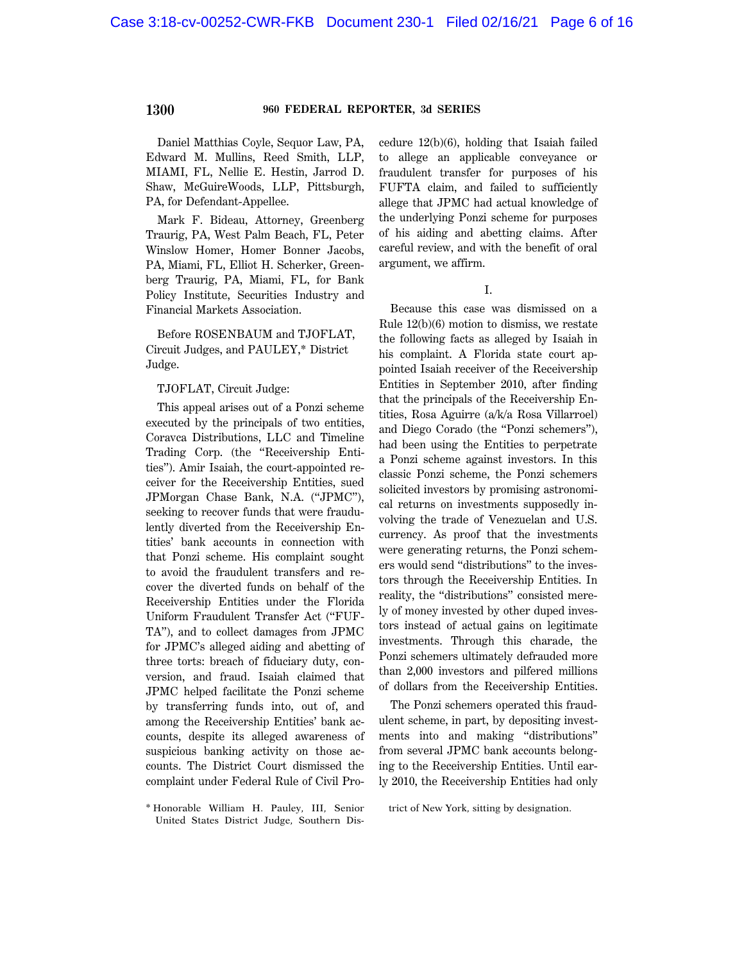Daniel Matthias Coyle, Sequor Law, PA, Edward M. Mullins, Reed Smith, LLP, MIAMI, FL, Nellie E. Hestin, Jarrod D. Shaw, McGuireWoods, LLP, Pittsburgh, PA, for Defendant-Appellee.

Mark F. Bideau, Attorney, Greenberg Traurig, PA, West Palm Beach, FL, Peter Winslow Homer, Homer Bonner Jacobs, PA, Miami, FL, Elliot H. Scherker, Greenberg Traurig, PA, Miami, FL, for Bank Policy Institute, Securities Industry and Financial Markets Association.

Before ROSENBAUM and TJOFLAT, Circuit Judges, and PAULEY,\* District Judge.

#### TJOFLAT, Circuit Judge:

This appeal arises out of a Ponzi scheme executed by the principals of two entities, Coravca Distributions, LLC and Timeline Trading Corp. (the ''Receivership Entities''). Amir Isaiah, the court-appointed receiver for the Receivership Entities, sued JPMorgan Chase Bank, N.A. (''JPMC''), seeking to recover funds that were fraudulently diverted from the Receivership Entities' bank accounts in connection with that Ponzi scheme. His complaint sought to avoid the fraudulent transfers and recover the diverted funds on behalf of the Receivership Entities under the Florida Uniform Fraudulent Transfer Act (''FUF-TA''), and to collect damages from JPMC for JPMC's alleged aiding and abetting of three torts: breach of fiduciary duty, conversion, and fraud. Isaiah claimed that JPMC helped facilitate the Ponzi scheme by transferring funds into, out of, and among the Receivership Entities' bank accounts, despite its alleged awareness of suspicious banking activity on those accounts. The District Court dismissed the complaint under Federal Rule of Civil Pro-

\* Honorable William H. Pauley, III, Senior United States District Judge, Southern Discedure 12(b)(6), holding that Isaiah failed to allege an applicable conveyance or fraudulent transfer for purposes of his FUFTA claim, and failed to sufficiently allege that JPMC had actual knowledge of the underlying Ponzi scheme for purposes of his aiding and abetting claims. After careful review, and with the benefit of oral argument, we affirm.

#### I.

Because this case was dismissed on a Rule 12(b)(6) motion to dismiss, we restate the following facts as alleged by Isaiah in his complaint. A Florida state court appointed Isaiah receiver of the Receivership Entities in September 2010, after finding that the principals of the Receivership Entities, Rosa Aguirre (a/k/a Rosa Villarroel) and Diego Corado (the ''Ponzi schemers''), had been using the Entities to perpetrate a Ponzi scheme against investors. In this classic Ponzi scheme, the Ponzi schemers solicited investors by promising astronomical returns on investments supposedly involving the trade of Venezuelan and U.S. currency. As proof that the investments were generating returns, the Ponzi schemers would send ''distributions'' to the investors through the Receivership Entities. In reality, the "distributions" consisted merely of money invested by other duped investors instead of actual gains on legitimate investments. Through this charade, the Ponzi schemers ultimately defrauded more than 2,000 investors and pilfered millions of dollars from the Receivership Entities.

The Ponzi schemers operated this fraudulent scheme, in part, by depositing investments into and making ''distributions'' from several JPMC bank accounts belonging to the Receivership Entities. Until early 2010, the Receivership Entities had only

trict of New York, sitting by designation.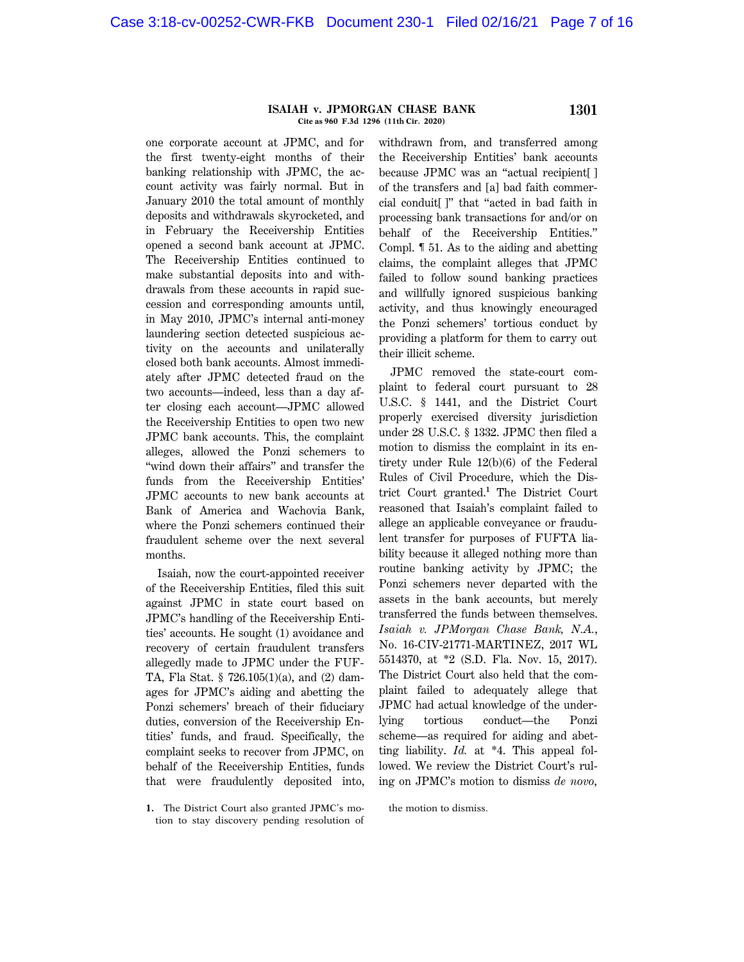#### **ISAIAH v. JPMORGAN CHASE BANK 1301 Cite as 960 F.3d 1296 (11th Cir. 2020)**

one corporate account at JPMC, and for the first twenty-eight months of their banking relationship with JPMC, the account activity was fairly normal. But in January 2010 the total amount of monthly deposits and withdrawals skyrocketed, and in February the Receivership Entities opened a second bank account at JPMC. The Receivership Entities continued to make substantial deposits into and withdrawals from these accounts in rapid succession and corresponding amounts until, in May 2010, JPMC's internal anti-money laundering section detected suspicious activity on the accounts and unilaterally closed both bank accounts. Almost immediately after JPMC detected fraud on the two accounts—indeed, less than a day after closing each account—JPMC allowed the Receivership Entities to open two new JPMC bank accounts. This, the complaint alleges, allowed the Ponzi schemers to "wind down their affairs" and transfer the funds from the Receivership Entities' JPMC accounts to new bank accounts at Bank of America and Wachovia Bank, where the Ponzi schemers continued their fraudulent scheme over the next several months.

Isaiah, now the court-appointed receiver of the Receivership Entities, filed this suit against JPMC in state court based on JPMC's handling of the Receivership Entities' accounts. He sought (1) avoidance and recovery of certain fraudulent transfers allegedly made to JPMC under the FUF-TA, Fla Stat. § 726.105(1)(a), and (2) damages for JPMC's aiding and abetting the Ponzi schemers' breach of their fiduciary duties, conversion of the Receivership Entities' funds, and fraud. Specifically, the complaint seeks to recover from JPMC, on behalf of the Receivership Entities, funds that were fraudulently deposited into,

**1.** The District Court also granted JPMC's motion to stay discovery pending resolution of withdrawn from, and transferred among the Receivership Entities' bank accounts because JPMC was an ''actual recipient[ ] of the transfers and [a] bad faith commercial conduit[ ]'' that ''acted in bad faith in processing bank transactions for and/or on behalf of the Receivership Entities.'' Compl. ¶ 51. As to the aiding and abetting claims, the complaint alleges that JPMC failed to follow sound banking practices and willfully ignored suspicious banking activity, and thus knowingly encouraged the Ponzi schemers' tortious conduct by providing a platform for them to carry out their illicit scheme.

JPMC removed the state-court complaint to federal court pursuant to 28 U.S.C. § 1441, and the District Court properly exercised diversity jurisdiction under 28 U.S.C. § 1332. JPMC then filed a motion to dismiss the complaint in its entirety under Rule 12(b)(6) of the Federal Rules of Civil Procedure, which the District Court granted.**<sup>1</sup>** The District Court reasoned that Isaiah's complaint failed to allege an applicable conveyance or fraudulent transfer for purposes of FUFTA liability because it alleged nothing more than routine banking activity by JPMC; the Ponzi schemers never departed with the assets in the bank accounts, but merely transferred the funds between themselves. *Isaiah v. JPMorgan Chase Bank, N.A.*, No. 16-CIV-21771-MARTINEZ, 2017 WL 5514370, at \*2 (S.D. Fla. Nov. 15, 2017). The District Court also held that the complaint failed to adequately allege that JPMC had actual knowledge of the underlying tortious conduct—the Ponzi scheme—as required for aiding and abetting liability. *Id.* at \*4. This appeal followed. We review the District Court's ruling on JPMC's motion to dismiss *de novo*,

the motion to dismiss.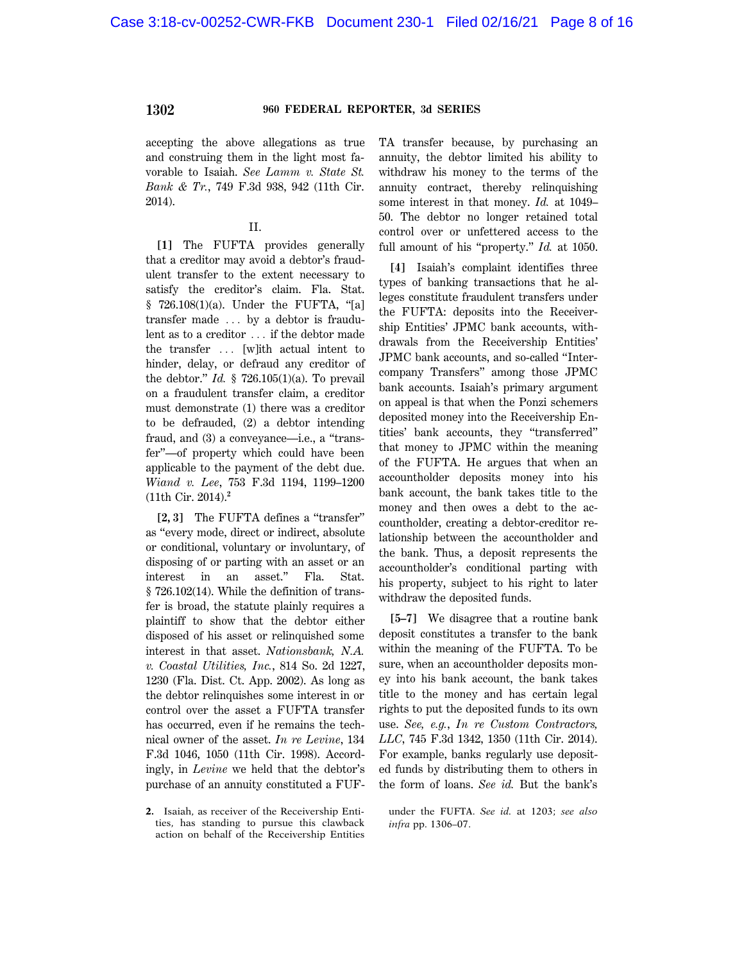accepting the above allegations as true and construing them in the light most favorable to Isaiah. *See Lamm v. State St. Bank & Tr.*, 749 F.3d 938, 942 (11th Cir. 2014).

#### II.

**[1]** The FUFTA provides generally that a creditor may avoid a debtor's fraudulent transfer to the extent necessary to satisfy the creditor's claim. Fla. Stat.  $§$  726.108(1)(a). Under the FUFTA, "[a] transfer made  $\ldots$  by a debtor is fraudulent as to a creditor ... if the debtor made the transfer  $\ldots$  [w]ith actual intent to hinder, delay, or defraud any creditor of the debtor.'' *Id.* § 726.105(1)(a). To prevail on a fraudulent transfer claim, a creditor must demonstrate (1) there was a creditor to be defrauded, (2) a debtor intending fraud, and (3) a conveyance—i.e., a "transfer''—of property which could have been applicable to the payment of the debt due. *Wiand v. Lee*, 753 F.3d 1194, 1199–1200 (11th Cir. 2014).**<sup>2</sup>**

**[2, 3]** The FUFTA defines a ''transfer'' as ''every mode, direct or indirect, absolute or conditional, voluntary or involuntary, of disposing of or parting with an asset or an interest in an asset.'' Fla. Stat. § 726.102(14). While the definition of transfer is broad, the statute plainly requires a plaintiff to show that the debtor either disposed of his asset or relinquished some interest in that asset. *Nationsbank, N.A. v. Coastal Utilities, Inc.*, 814 So. 2d 1227, 1230 (Fla. Dist. Ct. App. 2002). As long as the debtor relinquishes some interest in or control over the asset a FUFTA transfer has occurred, even if he remains the technical owner of the asset. *In re Levine*, 134 F.3d 1046, 1050 (11th Cir. 1998). Accordingly, in *Levine* we held that the debtor's purchase of an annuity constituted a FUF- TA transfer because, by purchasing an annuity, the debtor limited his ability to withdraw his money to the terms of the annuity contract, thereby relinquishing some interest in that money. *Id.* at 1049– 50. The debtor no longer retained total control over or unfettered access to the full amount of his ''property.'' *Id.* at 1050.

**[4]** Isaiah's complaint identifies three types of banking transactions that he alleges constitute fraudulent transfers under the FUFTA: deposits into the Receivership Entities' JPMC bank accounts, withdrawals from the Receivership Entities' JPMC bank accounts, and so-called ''Intercompany Transfers'' among those JPMC bank accounts. Isaiah's primary argument on appeal is that when the Ponzi schemers deposited money into the Receivership Entities' bank accounts, they ''transferred'' that money to JPMC within the meaning of the FUFTA. He argues that when an accountholder deposits money into his bank account, the bank takes title to the money and then owes a debt to the accountholder, creating a debtor-creditor relationship between the accountholder and the bank. Thus, a deposit represents the accountholder's conditional parting with his property, subject to his right to later withdraw the deposited funds.

**[5–7]** We disagree that a routine bank deposit constitutes a transfer to the bank within the meaning of the FUFTA. To be sure, when an accountholder deposits money into his bank account, the bank takes title to the money and has certain legal rights to put the deposited funds to its own use. *See, e.g.*, *In re Custom Contractors, LLC*, 745 F.3d 1342, 1350 (11th Cir. 2014). For example, banks regularly use deposited funds by distributing them to others in the form of loans. *See id.* But the bank's

**<sup>2.</sup>** Isaiah, as receiver of the Receivership Entities, has standing to pursue this clawback action on behalf of the Receivership Entities

under the FUFTA. *See id.* at 1203; *see also infra* pp. 1306–07.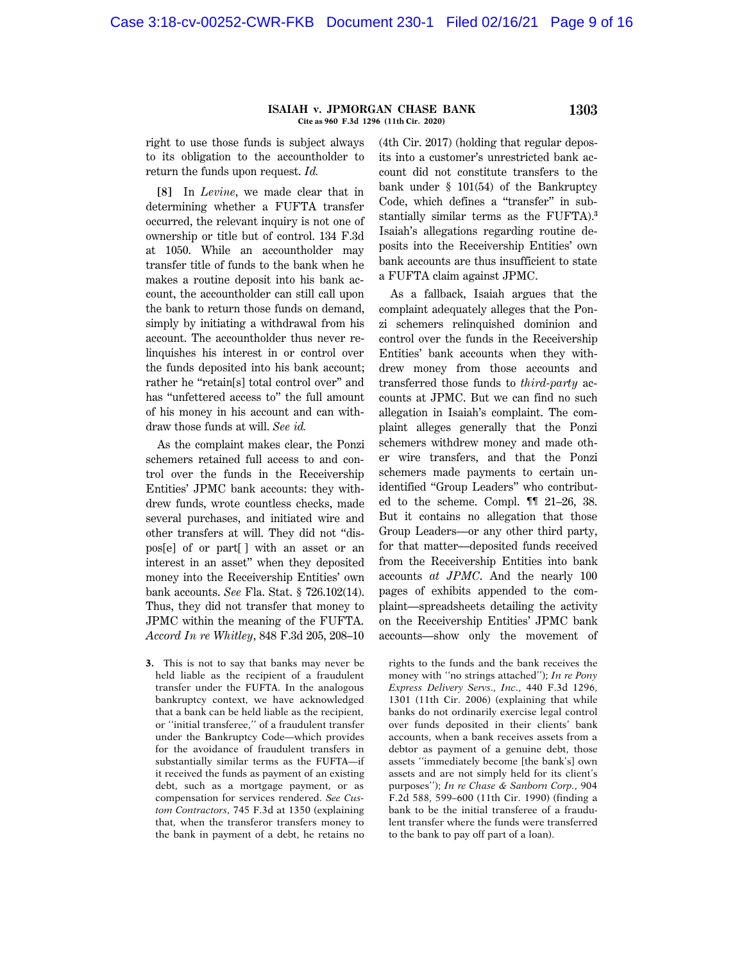#### **ISAIAH v. JPMORGAN CHASE BANK 1303 Cite as 960 F.3d 1296 (11th Cir. 2020)**

right to use those funds is subject always to its obligation to the accountholder to return the funds upon request. *Id.*

**[8]** In *Levine*, we made clear that in determining whether a FUFTA transfer occurred, the relevant inquiry is not one of ownership or title but of control. 134 F.3d at 1050. While an accountholder may transfer title of funds to the bank when he makes a routine deposit into his bank account, the accountholder can still call upon the bank to return those funds on demand, simply by initiating a withdrawal from his account. The accountholder thus never relinquishes his interest in or control over the funds deposited into his bank account; rather he "retain[s] total control over" and has "unfettered access to" the full amount of his money in his account and can withdraw those funds at will. *See id.*

As the complaint makes clear, the Ponzi schemers retained full access to and control over the funds in the Receivership Entities' JPMC bank accounts: they withdrew funds, wrote countless checks, made several purchases, and initiated wire and other transfers at will. They did not ''dispos[e] of or part[ ] with an asset or an interest in an asset'' when they deposited money into the Receivership Entities' own bank accounts. *See* Fla. Stat. § 726.102(14). Thus, they did not transfer that money to JPMC within the meaning of the FUFTA. *Accord In re Whitley*, 848 F.3d 205, 208–10

**3.** This is not to say that banks may never be held liable as the recipient of a fraudulent transfer under the FUFTA. In the analogous bankruptcy context, we have acknowledged that a bank can be held liable as the recipient, or ''initial transferee,'' of a fraudulent transfer under the Bankruptcy Code—which provides for the avoidance of fraudulent transfers in substantially similar terms as the FUFTA—if it received the funds as payment of an existing debt, such as a mortgage payment, or as compensation for services rendered. *See Custom Contractors*, 745 F.3d at 1350 (explaining that, when the transferor transfers money to the bank in payment of a debt, he retains no (4th Cir. 2017) (holding that regular deposits into a customer's unrestricted bank account did not constitute transfers to the bank under § 101(54) of the Bankruptcy Code, which defines a "transfer" in substantially similar terms as the FUFTA).**<sup>3</sup>** Isaiah's allegations regarding routine deposits into the Receivership Entities' own bank accounts are thus insufficient to state a FUFTA claim against JPMC.

As a fallback, Isaiah argues that the complaint adequately alleges that the Ponzi schemers relinquished dominion and control over the funds in the Receivership Entities' bank accounts when they withdrew money from those accounts and transferred those funds to *third-party* accounts at JPMC. But we can find no such allegation in Isaiah's complaint. The complaint alleges generally that the Ponzi schemers withdrew money and made other wire transfers, and that the Ponzi schemers made payments to certain unidentified ''Group Leaders'' who contributed to the scheme. Compl. ¶¶ 21–26, 38. But it contains no allegation that those Group Leaders—or any other third party, for that matter—deposited funds received from the Receivership Entities into bank accounts *at JPMC*. And the nearly 100 pages of exhibits appended to the complaint—spreadsheets detailing the activity on the Receivership Entities' JPMC bank accounts—show only the movement of

rights to the funds and the bank receives the money with ''no strings attached''); *In re Pony Express Delivery Servs., Inc.*, 440 F.3d 1296, 1301 (11th Cir. 2006) (explaining that while banks do not ordinarily exercise legal control over funds deposited in their clients' bank accounts, when a bank receives assets from a debtor as payment of a genuine debt, those assets ''immediately become [the bank's] own assets and are not simply held for its client's purposes''); *In re Chase & Sanborn Corp.*, 904 F.2d 588, 599–600 (11th Cir. 1990) (finding a bank to be the initial transferee of a fraudulent transfer where the funds were transferred to the bank to pay off part of a loan).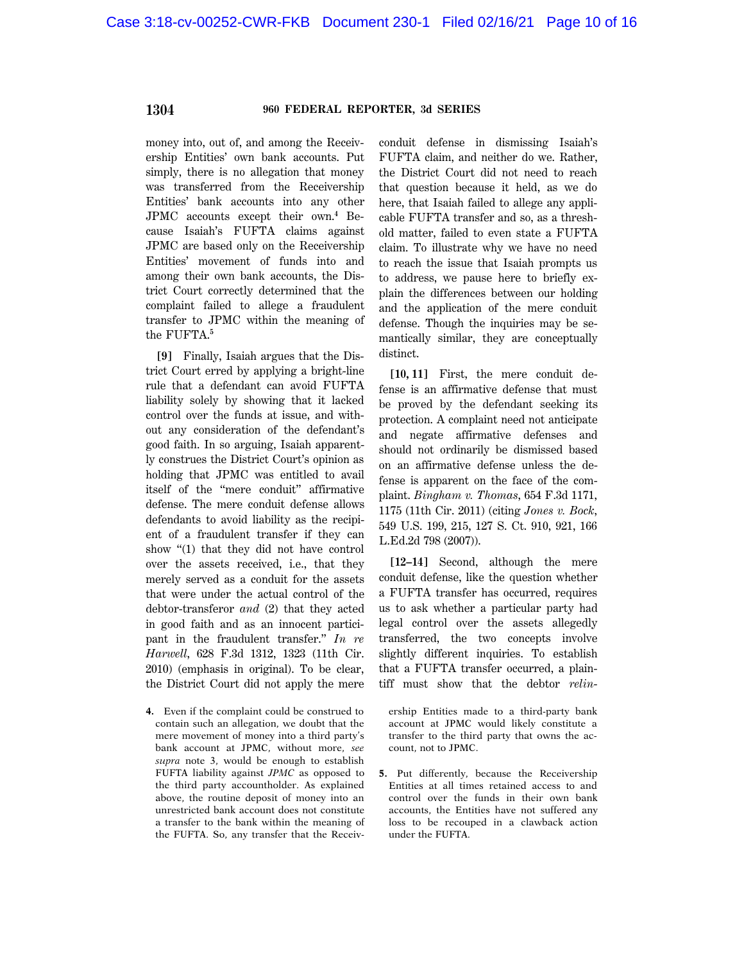money into, out of, and among the Receivership Entities' own bank accounts. Put simply, there is no allegation that money was transferred from the Receivership Entities' bank accounts into any other JPMC accounts except their own.**<sup>4</sup>** Because Isaiah's FUFTA claims against JPMC are based only on the Receivership Entities' movement of funds into and among their own bank accounts, the District Court correctly determined that the complaint failed to allege a fraudulent transfer to JPMC within the meaning of the FUFTA.**<sup>5</sup>**

**[9]** Finally, Isaiah argues that the District Court erred by applying a bright-line rule that a defendant can avoid FUFTA liability solely by showing that it lacked control over the funds at issue, and without any consideration of the defendant's good faith. In so arguing, Isaiah apparently construes the District Court's opinion as holding that JPMC was entitled to avail itself of the ''mere conduit'' affirmative defense. The mere conduit defense allows defendants to avoid liability as the recipient of a fraudulent transfer if they can show ''(1) that they did not have control over the assets received, i.e., that they merely served as a conduit for the assets that were under the actual control of the debtor-transferor *and* (2) that they acted in good faith and as an innocent participant in the fraudulent transfer.'' *In re Harwell*, 628 F.3d 1312, 1323 (11th Cir. 2010) (emphasis in original). To be clear, the District Court did not apply the mere

**4.** Even if the complaint could be construed to contain such an allegation, we doubt that the mere movement of money into a third party's bank account at JPMC, without more, *see supra* note 3, would be enough to establish FUFTA liability against *JPMC* as opposed to the third party accountholder. As explained above, the routine deposit of money into an unrestricted bank account does not constitute a transfer to the bank within the meaning of the FUFTA. So, any transfer that the Receivconduit defense in dismissing Isaiah's FUFTA claim, and neither do we. Rather, the District Court did not need to reach that question because it held, as we do here, that Isaiah failed to allege any applicable FUFTA transfer and so, as a threshold matter, failed to even state a FUFTA claim. To illustrate why we have no need to reach the issue that Isaiah prompts us to address, we pause here to briefly explain the differences between our holding and the application of the mere conduit defense. Though the inquiries may be semantically similar, they are conceptually distinct.

**[10, 11]** First, the mere conduit defense is an affirmative defense that must be proved by the defendant seeking its protection. A complaint need not anticipate and negate affirmative defenses and should not ordinarily be dismissed based on an affirmative defense unless the defense is apparent on the face of the complaint. *Bingham v. Thomas*, 654 F.3d 1171, 1175 (11th Cir. 2011) (citing *Jones v. Bock*, 549 U.S. 199, 215, 127 S. Ct. 910, 921, 166 L.Ed.2d 798 (2007)).

**[12–14]** Second, although the mere conduit defense, like the question whether a FUFTA transfer has occurred, requires us to ask whether a particular party had legal control over the assets allegedly transferred, the two concepts involve slightly different inquiries. To establish that a FUFTA transfer occurred, a plaintiff must show that the debtor *relin*-

ership Entities made to a third-party bank account at JPMC would likely constitute a transfer to the third party that owns the account, not to JPMC.

**5.** Put differently, because the Receivership Entities at all times retained access to and control over the funds in their own bank accounts, the Entities have not suffered any loss to be recouped in a clawback action under the FUFTA.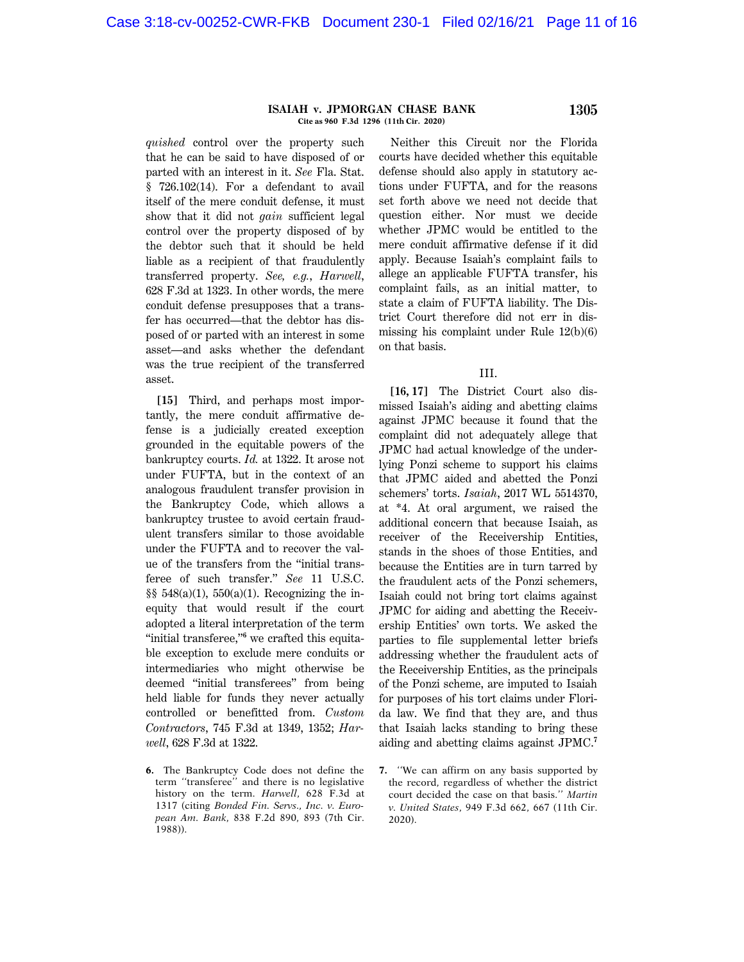#### **ISAIAH v. JPMORGAN CHASE BANK 1305 Cite as 960 F.3d 1296 (11th Cir. 2020)**

*quished* control over the property such that he can be said to have disposed of or parted with an interest in it. *See* Fla. Stat. § 726.102(14). For a defendant to avail itself of the mere conduit defense, it must show that it did not *gain* sufficient legal control over the property disposed of by the debtor such that it should be held liable as a recipient of that fraudulently transferred property. *See, e.g.*, *Harwell*, 628 F.3d at 1323. In other words, the mere conduit defense presupposes that a transfer has occurred—that the debtor has disposed of or parted with an interest in some asset—and asks whether the defendant was the true recipient of the transferred asset.

**[15]** Third, and perhaps most importantly, the mere conduit affirmative defense is a judicially created exception grounded in the equitable powers of the bankruptcy courts. *Id.* at 1322. It arose not under FUFTA, but in the context of an analogous fraudulent transfer provision in the Bankruptcy Code, which allows a bankruptcy trustee to avoid certain fraudulent transfers similar to those avoidable under the FUFTA and to recover the value of the transfers from the ''initial transferee of such transfer.'' *See* 11 U.S.C. §§  $548(a)(1)$ ,  $550(a)(1)$ . Recognizing the inequity that would result if the court adopted a literal interpretation of the term "initial transferee,"<sup>6</sup> we crafted this equitable exception to exclude mere conduits or intermediaries who might otherwise be deemed ''initial transferees'' from being held liable for funds they never actually controlled or benefitted from. *Custom Contractors*, 745 F.3d at 1349, 1352; *Harwell*, 628 F.3d at 1322.

**6.** The Bankruptcy Code does not define the term ''transferee'' and there is no legislative history on the term. *Harwell*, 628 F.3d at 1317 (citing *Bonded Fin. Servs., Inc. v. European Am. Bank*, 838 F.2d 890, 893 (7th Cir. 1988)).

Neither this Circuit nor the Florida courts have decided whether this equitable defense should also apply in statutory actions under FUFTA, and for the reasons set forth above we need not decide that question either. Nor must we decide whether JPMC would be entitled to the mere conduit affirmative defense if it did apply. Because Isaiah's complaint fails to allege an applicable FUFTA transfer, his complaint fails, as an initial matter, to state a claim of FUFTA liability. The District Court therefore did not err in dismissing his complaint under Rule 12(b)(6) on that basis.

#### III.

**[16, 17]** The District Court also dismissed Isaiah's aiding and abetting claims against JPMC because it found that the complaint did not adequately allege that JPMC had actual knowledge of the underlying Ponzi scheme to support his claims that JPMC aided and abetted the Ponzi schemers' torts. *Isaiah*, 2017 WL 5514370, at \*4. At oral argument, we raised the additional concern that because Isaiah, as receiver of the Receivership Entities, stands in the shoes of those Entities, and because the Entities are in turn tarred by the fraudulent acts of the Ponzi schemers, Isaiah could not bring tort claims against JPMC for aiding and abetting the Receivership Entities' own torts. We asked the parties to file supplemental letter briefs addressing whether the fraudulent acts of the Receivership Entities, as the principals of the Ponzi scheme, are imputed to Isaiah for purposes of his tort claims under Florida law. We find that they are, and thus that Isaiah lacks standing to bring these aiding and abetting claims against JPMC.**<sup>7</sup>**

**<sup>7.</sup>** ''We can affirm on any basis supported by the record, regardless of whether the district court decided the case on that basis.'' *Martin v. United States*, 949 F.3d 662, 667 (11th Cir. 2020).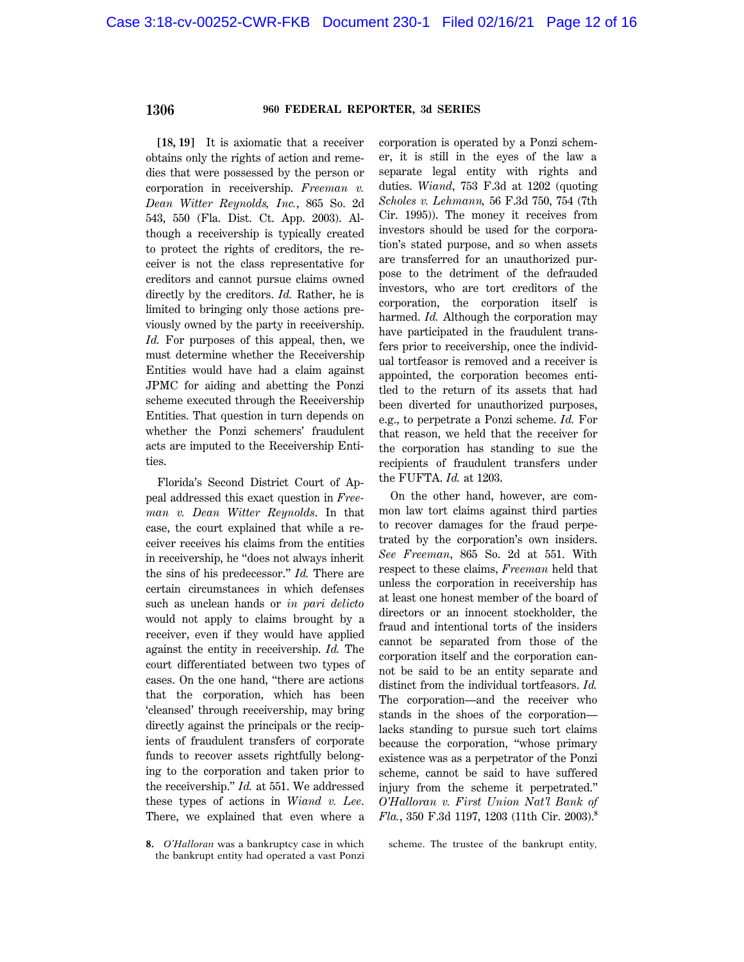**[18, 19]** It is axiomatic that a receiver obtains only the rights of action and remedies that were possessed by the person or corporation in receivership. *Freeman v. Dean Witter Reynolds, Inc.*, 865 So. 2d 543, 550 (Fla. Dist. Ct. App. 2003). Although a receivership is typically created to protect the rights of creditors, the receiver is not the class representative for creditors and cannot pursue claims owned directly by the creditors. *Id.* Rather, he is limited to bringing only those actions previously owned by the party in receivership. *Id.* For purposes of this appeal, then, we must determine whether the Receivership Entities would have had a claim against JPMC for aiding and abetting the Ponzi scheme executed through the Receivership Entities. That question in turn depends on whether the Ponzi schemers' fraudulent acts are imputed to the Receivership Entities.

Florida's Second District Court of Appeal addressed this exact question in *Freeman v. Dean Witter Reynolds*. In that case, the court explained that while a receiver receives his claims from the entities in receivership, he ''does not always inherit the sins of his predecessor.'' *Id.* There are certain circumstances in which defenses such as unclean hands or *in pari delicto* would not apply to claims brought by a receiver, even if they would have applied against the entity in receivership. *Id.* The court differentiated between two types of cases. On the one hand, ''there are actions that the corporation, which has been 'cleansed' through receivership, may bring directly against the principals or the recipients of fraudulent transfers of corporate funds to recover assets rightfully belonging to the corporation and taken prior to the receivership.'' *Id.* at 551. We addressed these types of actions in *Wiand v. Lee*. There, we explained that even where a

corporation is operated by a Ponzi schemer, it is still in the eyes of the law a separate legal entity with rights and duties. *Wiand*, 753 F.3d at 1202 (quoting *Scholes v. Lehmann,* 56 F.3d 750, 754 (7th Cir. 1995)). The money it receives from investors should be used for the corporation's stated purpose, and so when assets are transferred for an unauthorized purpose to the detriment of the defrauded investors, who are tort creditors of the corporation, the corporation itself is harmed. *Id.* Although the corporation may have participated in the fraudulent transfers prior to receivership, once the individual tortfeasor is removed and a receiver is appointed, the corporation becomes entitled to the return of its assets that had been diverted for unauthorized purposes, e.g., to perpetrate a Ponzi scheme. *Id.* For that reason, we held that the receiver for the corporation has standing to sue the recipients of fraudulent transfers under the FUFTA. *Id.* at 1203.

On the other hand, however, are common law tort claims against third parties to recover damages for the fraud perpetrated by the corporation's own insiders. *See Freeman*, 865 So. 2d at 551. With respect to these claims, *Freeman* held that unless the corporation in receivership has at least one honest member of the board of directors or an innocent stockholder, the fraud and intentional torts of the insiders cannot be separated from those of the corporation itself and the corporation cannot be said to be an entity separate and distinct from the individual tortfeasors. *Id.* The corporation—and the receiver who stands in the shoes of the corporation lacks standing to pursue such tort claims because the corporation, ''whose primary existence was as a perpetrator of the Ponzi scheme, cannot be said to have suffered injury from the scheme it perpetrated.'' *O'Halloran v. First Union Nat'l Bank of Fla.*, 350 F.3d 1197, 1203 (11th Cir. 2003).**<sup>8</sup>**

scheme. The trustee of the bankrupt entity,

**<sup>8.</sup>** *O'Halloran* was a bankruptcy case in which the bankrupt entity had operated a vast Ponzi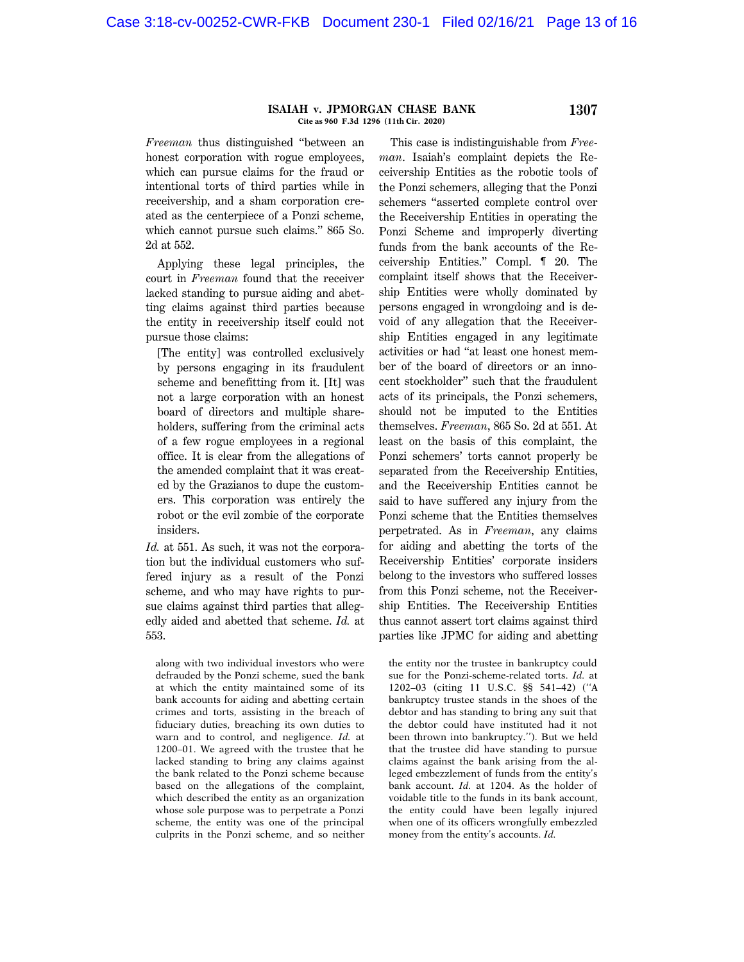#### **ISAIAH v. JPMORGAN CHASE BANK 1307 Cite as 960 F.3d 1296 (11th Cir. 2020)**

*Freeman* thus distinguished ''between an honest corporation with rogue employees, which can pursue claims for the fraud or intentional torts of third parties while in receivership, and a sham corporation created as the centerpiece of a Ponzi scheme, which cannot pursue such claims.'' 865 So. 2d at 552.

Applying these legal principles, the court in *Freeman* found that the receiver lacked standing to pursue aiding and abetting claims against third parties because the entity in receivership itself could not pursue those claims:

[The entity] was controlled exclusively by persons engaging in its fraudulent scheme and benefitting from it. [It] was not a large corporation with an honest board of directors and multiple shareholders, suffering from the criminal acts of a few rogue employees in a regional office. It is clear from the allegations of the amended complaint that it was created by the Grazianos to dupe the customers. This corporation was entirely the robot or the evil zombie of the corporate insiders.

*Id.* at 551. As such, it was not the corporation but the individual customers who suffered injury as a result of the Ponzi scheme, and who may have rights to pursue claims against third parties that allegedly aided and abetted that scheme. *Id.* at 553.

along with two individual investors who were defrauded by the Ponzi scheme, sued the bank at which the entity maintained some of its bank accounts for aiding and abetting certain crimes and torts, assisting in the breach of fiduciary duties, breaching its own duties to warn and to control, and negligence. *Id.* at 1200–01. We agreed with the trustee that he lacked standing to bring any claims against the bank related to the Ponzi scheme because based on the allegations of the complaint, which described the entity as an organization whose sole purpose was to perpetrate a Ponzi scheme, the entity was one of the principal culprits in the Ponzi scheme, and so neither

This case is indistinguishable from *Freeman*. Isaiah's complaint depicts the Receivership Entities as the robotic tools of the Ponzi schemers, alleging that the Ponzi schemers ''asserted complete control over the Receivership Entities in operating the Ponzi Scheme and improperly diverting funds from the bank accounts of the Receivership Entities.'' Compl. ¶ 20. The complaint itself shows that the Receivership Entities were wholly dominated by persons engaged in wrongdoing and is devoid of any allegation that the Receivership Entities engaged in any legitimate activities or had ''at least one honest member of the board of directors or an innocent stockholder'' such that the fraudulent acts of its principals, the Ponzi schemers, should not be imputed to the Entities themselves. *Freeman*, 865 So. 2d at 551. At least on the basis of this complaint, the Ponzi schemers' torts cannot properly be separated from the Receivership Entities, and the Receivership Entities cannot be said to have suffered any injury from the Ponzi scheme that the Entities themselves perpetrated. As in *Freeman*, any claims for aiding and abetting the torts of the Receivership Entities' corporate insiders belong to the investors who suffered losses from this Ponzi scheme, not the Receivership Entities. The Receivership Entities thus cannot assert tort claims against third parties like JPMC for aiding and abetting

the entity nor the trustee in bankruptcy could sue for the Ponzi-scheme-related torts. *Id.* at 1202–03 (citing 11 U.S.C. §§ 541–42) (''A bankruptcy trustee stands in the shoes of the debtor and has standing to bring any suit that the debtor could have instituted had it not been thrown into bankruptcy.''). But we held that the trustee did have standing to pursue claims against the bank arising from the alleged embezzlement of funds from the entity's bank account. *Id.* at 1204. As the holder of voidable title to the funds in its bank account, the entity could have been legally injured when one of its officers wrongfully embezzled money from the entity's accounts. *Id.*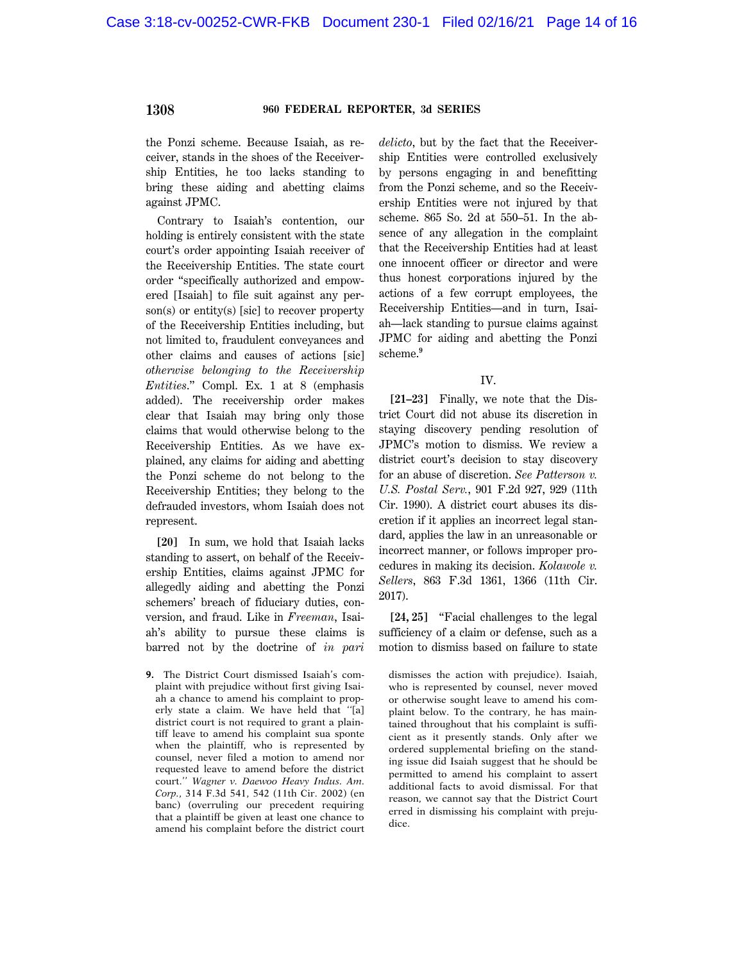the Ponzi scheme. Because Isaiah, as receiver, stands in the shoes of the Receivership Entities, he too lacks standing to bring these aiding and abetting claims against JPMC.

Contrary to Isaiah's contention, our holding is entirely consistent with the state court's order appointing Isaiah receiver of the Receivership Entities. The state court order ''specifically authorized and empowered [Isaiah] to file suit against any person(s) or entity(s) [sic] to recover property of the Receivership Entities including, but not limited to, fraudulent conveyances and other claims and causes of actions [sic] *otherwise belonging to the Receivership Entities*.'' Compl. Ex. 1 at 8 (emphasis added). The receivership order makes clear that Isaiah may bring only those claims that would otherwise belong to the Receivership Entities. As we have explained, any claims for aiding and abetting the Ponzi scheme do not belong to the Receivership Entities; they belong to the defrauded investors, whom Isaiah does not represent.

**[20]** In sum, we hold that Isaiah lacks standing to assert, on behalf of the Receivership Entities, claims against JPMC for allegedly aiding and abetting the Ponzi schemers' breach of fiduciary duties, conversion, and fraud. Like in *Freeman*, Isaiah's ability to pursue these claims is barred not by the doctrine of *in pari*

**9.** The District Court dismissed Isaiah's complaint with prejudice without first giving Isaiah a chance to amend his complaint to properly state a claim. We have held that ''[a] district court is not required to grant a plaintiff leave to amend his complaint sua sponte when the plaintiff, who is represented by counsel, never filed a motion to amend nor requested leave to amend before the district court.'' *Wagner v. Daewoo Heavy Indus. Am. Corp.*, 314 F.3d 541, 542 (11th Cir. 2002) (en banc) (overruling our precedent requiring that a plaintiff be given at least one chance to amend his complaint before the district court *delicto*, but by the fact that the Receivership Entities were controlled exclusively by persons engaging in and benefitting from the Ponzi scheme, and so the Receivership Entities were not injured by that scheme. 865 So. 2d at 550–51. In the absence of any allegation in the complaint that the Receivership Entities had at least one innocent officer or director and were thus honest corporations injured by the actions of a few corrupt employees, the Receivership Entities—and in turn, Isaiah—lack standing to pursue claims against JPMC for aiding and abetting the Ponzi scheme.**<sup>9</sup>**

#### IV.

**[21–23]** Finally, we note that the District Court did not abuse its discretion in staying discovery pending resolution of JPMC's motion to dismiss. We review a district court's decision to stay discovery for an abuse of discretion. *See Patterson v. U.S. Postal Serv.*, 901 F.2d 927, 929 (11th Cir. 1990). A district court abuses its discretion if it applies an incorrect legal standard, applies the law in an unreasonable or incorrect manner, or follows improper procedures in making its decision. *Kolawole v. Sellers*, 863 F.3d 1361, 1366 (11th Cir. 2017).

**[24, 25]** ''Facial challenges to the legal sufficiency of a claim or defense, such as a motion to dismiss based on failure to state

dismisses the action with prejudice). Isaiah, who is represented by counsel, never moved or otherwise sought leave to amend his complaint below. To the contrary, he has maintained throughout that his complaint is sufficient as it presently stands. Only after we ordered supplemental briefing on the standing issue did Isaiah suggest that he should be permitted to amend his complaint to assert additional facts to avoid dismissal. For that reason, we cannot say that the District Court erred in dismissing his complaint with prejudice.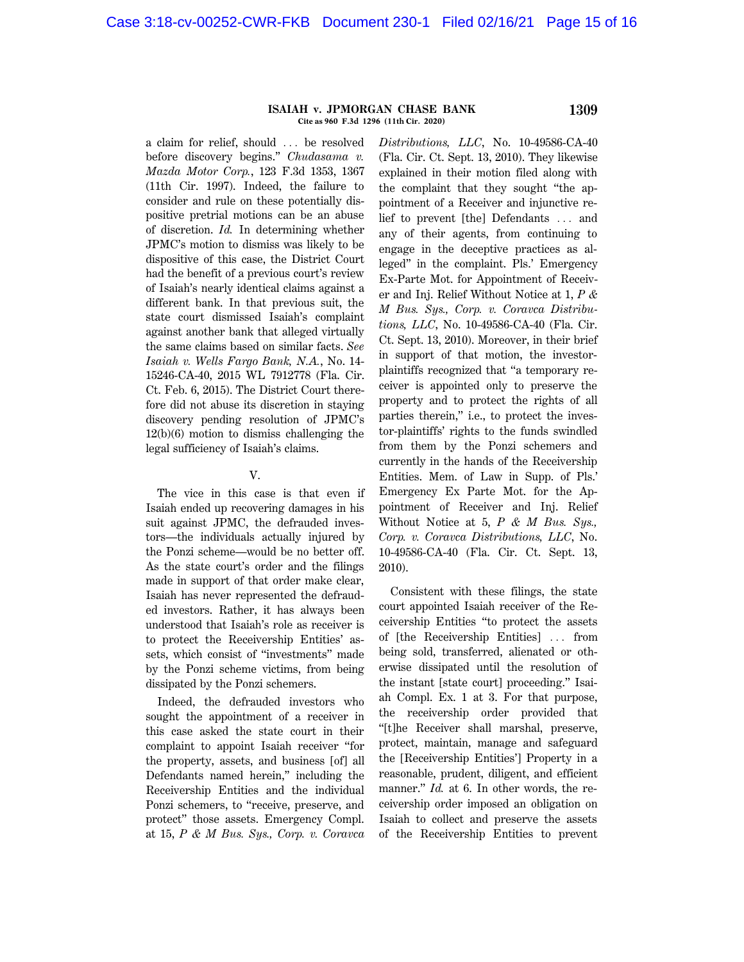#### **ISAIAH v. JPMORGAN CHASE BANK 1309 Cite as 960 F.3d 1296 (11th Cir. 2020)**

a claim for relief, should ... be resolved before discovery begins.'' *Chudasama v. Mazda Motor Corp.*, 123 F.3d 1353, 1367 (11th Cir. 1997). Indeed, the failure to consider and rule on these potentially dispositive pretrial motions can be an abuse of discretion. *Id.* In determining whether JPMC's motion to dismiss was likely to be dispositive of this case, the District Court had the benefit of a previous court's review of Isaiah's nearly identical claims against a different bank. In that previous suit, the state court dismissed Isaiah's complaint against another bank that alleged virtually the same claims based on similar facts. *See Isaiah v. Wells Fargo Bank, N.A.*, No. 14- 15246-CA-40, 2015 WL 7912778 (Fla. Cir. Ct. Feb. 6, 2015). The District Court therefore did not abuse its discretion in staying discovery pending resolution of JPMC's 12(b)(6) motion to dismiss challenging the legal sufficiency of Isaiah's claims.

#### V.

The vice in this case is that even if Isaiah ended up recovering damages in his suit against JPMC, the defrauded investors—the individuals actually injured by the Ponzi scheme—would be no better off. As the state court's order and the filings made in support of that order make clear, Isaiah has never represented the defrauded investors. Rather, it has always been understood that Isaiah's role as receiver is to protect the Receivership Entities' assets, which consist of ''investments'' made by the Ponzi scheme victims, from being dissipated by the Ponzi schemers.

Indeed, the defrauded investors who sought the appointment of a receiver in this case asked the state court in their complaint to appoint Isaiah receiver ''for the property, assets, and business [of] all Defendants named herein,'' including the Receivership Entities and the individual Ponzi schemers, to "receive, preserve, and protect'' those assets. Emergency Compl. at 15, *P & M Bus. Sys., Corp. v. Coravca* *Distributions, LLC*, No. 10-49586-CA-40 (Fla. Cir. Ct. Sept. 13, 2010). They likewise explained in their motion filed along with the complaint that they sought ''the appointment of a Receiver and injunctive relief to prevent [the] Defendants ... and any of their agents, from continuing to engage in the deceptive practices as alleged'' in the complaint. Pls.' Emergency Ex-Parte Mot. for Appointment of Receiver and Inj. Relief Without Notice at 1, *P & M Bus. Sys., Corp. v. Coravca Distributions, LLC*, No. 10-49586-CA-40 (Fla. Cir. Ct. Sept. 13, 2010). Moreover, in their brief in support of that motion, the investorplaintiffs recognized that ''a temporary receiver is appointed only to preserve the property and to protect the rights of all parties therein,'' i.e., to protect the investor-plaintiffs' rights to the funds swindled from them by the Ponzi schemers and currently in the hands of the Receivership Entities. Mem. of Law in Supp. of Pls.' Emergency Ex Parte Mot. for the Appointment of Receiver and Inj. Relief Without Notice at 5, *P & M Bus. Sys., Corp. v. Coravca Distributions, LLC*, No. 10-49586-CA-40 (Fla. Cir. Ct. Sept. 13, 2010).

Consistent with these filings, the state court appointed Isaiah receiver of the Receivership Entities ''to protect the assets of [the Receivership Entities] ... from being sold, transferred, alienated or otherwise dissipated until the resolution of the instant [state court] proceeding.'' Isaiah Compl. Ex. 1 at 3. For that purpose, the receivership order provided that ''[t]he Receiver shall marshal, preserve, protect, maintain, manage and safeguard the [Receivership Entities'] Property in a reasonable, prudent, diligent, and efficient manner." *Id.* at 6. In other words, the receivership order imposed an obligation on Isaiah to collect and preserve the assets of the Receivership Entities to prevent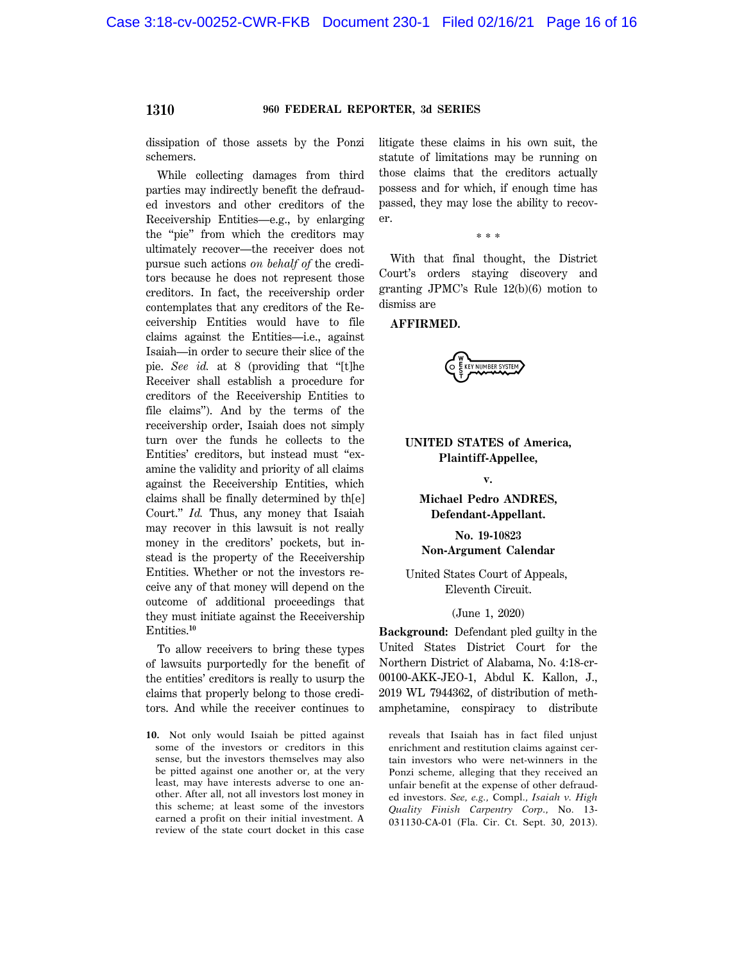dissipation of those assets by the Ponzi schemers.

While collecting damages from third parties may indirectly benefit the defrauded investors and other creditors of the Receivership Entities—e.g., by enlarging the "pie" from which the creditors may ultimately recover—the receiver does not pursue such actions *on behalf of* the creditors because he does not represent those creditors. In fact, the receivership order contemplates that any creditors of the Receivership Entities would have to file claims against the Entities—i.e., against Isaiah—in order to secure their slice of the pie. See id. at 8 (providing that "[t]he Receiver shall establish a procedure for creditors of the Receivership Entities to file claims''). And by the terms of the receivership order, Isaiah does not simply turn over the funds he collects to the Entities' creditors, but instead must ''examine the validity and priority of all claims against the Receivership Entities, which claims shall be finally determined by th[e] Court.'' *Id.* Thus, any money that Isaiah may recover in this lawsuit is not really money in the creditors' pockets, but instead is the property of the Receivership Entities. Whether or not the investors receive any of that money will depend on the outcome of additional proceedings that they must initiate against the Receivership Entities.**<sup>10</sup>**

To allow receivers to bring these types of lawsuits purportedly for the benefit of the entities' creditors is really to usurp the claims that properly belong to those creditors. And while the receiver continues to

**10.** Not only would Isaiah be pitted against some of the investors or creditors in this sense, but the investors themselves may also be pitted against one another or, at the very least, may have interests adverse to one another. After all, not all investors lost money in this scheme; at least some of the investors earned a profit on their initial investment. A review of the state court docket in this case

litigate these claims in his own suit, the statute of limitations may be running on those claims that the creditors actually possess and for which, if enough time has passed, they may lose the ability to recover.

\* \* \*

With that final thought, the District Court's orders staying discovery and granting JPMC's Rule 12(b)(6) motion to dismiss are

#### **AFFIRMED.**

EY NUMBER SYSTEM

## **UNITED STATES of America, Plaintiff-Appellee,**

#### **v.**

## **Michael Pedro ANDRES, Defendant-Appellant.**

## **No. 19-10823 Non-Argument Calendar**

## United States Court of Appeals, Eleventh Circuit.

#### (June 1, 2020)

**Background:** Defendant pled guilty in the United States District Court for the Northern District of Alabama, No. 4:18-cr-00100-AKK-JEO-1, Abdul K. Kallon, J., 2019 WL 7944362, of distribution of methamphetamine, conspiracy to distribute

reveals that Isaiah has in fact filed unjust enrichment and restitution claims against certain investors who were net-winners in the Ponzi scheme, alleging that they received an unfair benefit at the expense of other defrauded investors. *See, e.g.*, Compl., *Isaiah v. High Quality Finish Carpentry Corp.*, No. 13- 031130-CA-01 (Fla. Cir. Ct. Sept. 30, 2013).